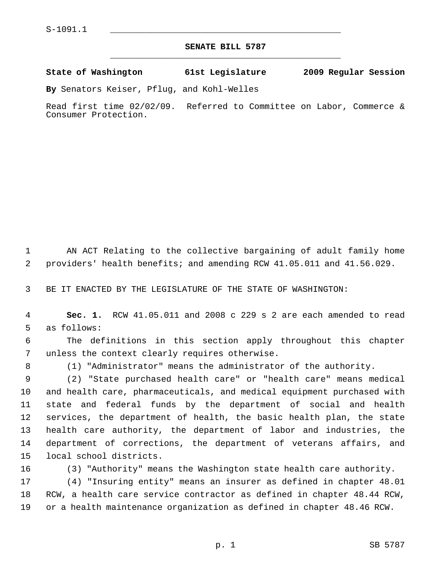## **SENATE BILL 5787** \_\_\_\_\_\_\_\_\_\_\_\_\_\_\_\_\_\_\_\_\_\_\_\_\_\_\_\_\_\_\_\_\_\_\_\_\_\_\_\_\_\_\_\_\_

## **State of Washington 61st Legislature 2009 Regular Session**

**By** Senators Keiser, Pflug, and Kohl-Welles

Read first time 02/02/09. Referred to Committee on Labor, Commerce & Consumer Protection.

 1 AN ACT Relating to the collective bargaining of adult family home 2 providers' health benefits; and amending RCW 41.05.011 and 41.56.029.

3 BE IT ENACTED BY THE LEGISLATURE OF THE STATE OF WASHINGTON:

 4 **Sec. 1.** RCW 41.05.011 and 2008 c 229 s 2 are each amended to read 5 as follows:

 6 The definitions in this section apply throughout this chapter 7 unless the context clearly requires otherwise.

8 (1) "Administrator" means the administrator of the authority.

 9 (2) "State purchased health care" or "health care" means medical 10 and health care, pharmaceuticals, and medical equipment purchased with 11 state and federal funds by the department of social and health 12 services, the department of health, the basic health plan, the state 13 health care authority, the department of labor and industries, the 14 department of corrections, the department of veterans affairs, and 15 local school districts.

16 (3) "Authority" means the Washington state health care authority.

17 (4) "Insuring entity" means an insurer as defined in chapter 48.01 18 RCW, a health care service contractor as defined in chapter 48.44 RCW, 19 or a health maintenance organization as defined in chapter 48.46 RCW.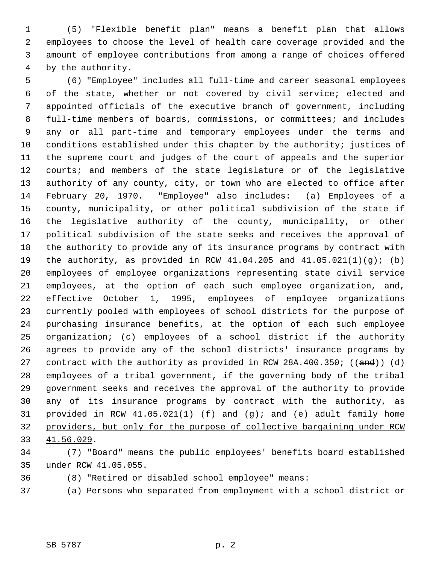1 (5) "Flexible benefit plan" means a benefit plan that allows 2 employees to choose the level of health care coverage provided and the 3 amount of employee contributions from among a range of choices offered 4 by the authority.

 5 (6) "Employee" includes all full-time and career seasonal employees 6 of the state, whether or not covered by civil service; elected and 7 appointed officials of the executive branch of government, including 8 full-time members of boards, commissions, or committees; and includes 9 any or all part-time and temporary employees under the terms and 10 conditions established under this chapter by the authority; justices of 11 the supreme court and judges of the court of appeals and the superior 12 courts; and members of the state legislature or of the legislative 13 authority of any county, city, or town who are elected to office after 14 February 20, 1970. "Employee" also includes: (a) Employees of a 15 county, municipality, or other political subdivision of the state if 16 the legislative authority of the county, municipality, or other 17 political subdivision of the state seeks and receives the approval of 18 the authority to provide any of its insurance programs by contract with 19 the authority, as provided in RCW  $41.04.205$  and  $41.05.021(1)(q)$ ; (b) 20 employees of employee organizations representing state civil service 21 employees, at the option of each such employee organization, and, 22 effective October 1, 1995, employees of employee organizations 23 currently pooled with employees of school districts for the purpose of 24 purchasing insurance benefits, at the option of each such employee 25 organization; (c) employees of a school district if the authority 26 agrees to provide any of the school districts' insurance programs by 27 contract with the authority as provided in RCW 28A.400.350;  $((and))$  (d) 28 employees of a tribal government, if the governing body of the tribal 29 government seeks and receives the approval of the authority to provide 30 any of its insurance programs by contract with the authority, as 31 provided in RCW 41.05.021(1) (f) and (g); and (e) adult family home 32 providers, but only for the purpose of collective bargaining under RCW 33 41.56.029.

34 (7) "Board" means the public employees' benefits board established 35 under RCW 41.05.055.

36 (8) "Retired or disabled school employee" means:

37 (a) Persons who separated from employment with a school district or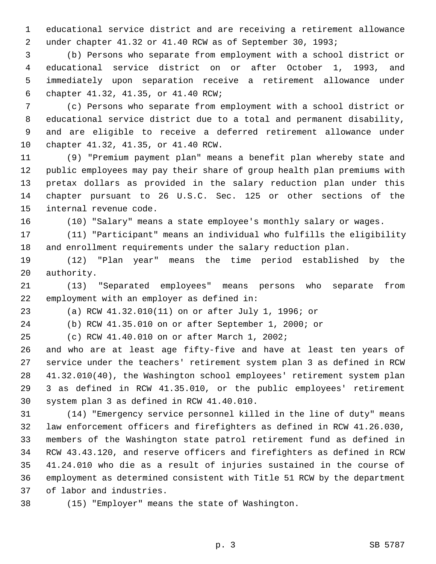1 educational service district and are receiving a retirement allowance 2 under chapter 41.32 or 41.40 RCW as of September 30, 1993;

 3 (b) Persons who separate from employment with a school district or 4 educational service district on or after October 1, 1993, and 5 immediately upon separation receive a retirement allowance under 6 chapter 41.32, 41.35, or 41.40 RCW;

 7 (c) Persons who separate from employment with a school district or 8 educational service district due to a total and permanent disability, 9 and are eligible to receive a deferred retirement allowance under 10 chapter 41.32, 41.35, or 41.40 RCW.

11 (9) "Premium payment plan" means a benefit plan whereby state and 12 public employees may pay their share of group health plan premiums with 13 pretax dollars as provided in the salary reduction plan under this 14 chapter pursuant to 26 U.S.C. Sec. 125 or other sections of the 15 internal revenue code.

16 (10) "Salary" means a state employee's monthly salary or wages.

17 (11) "Participant" means an individual who fulfills the eligibility 18 and enrollment requirements under the salary reduction plan.

19 (12) "Plan year" means the time period established by the 20 authority.

21 (13) "Separated employees" means persons who separate from 22 employment with an employer as defined in:

23 (a) RCW 41.32.010(11) on or after July 1, 1996; or

24 (b) RCW 41.35.010 on or after September 1, 2000; or

25 (c) RCW 41.40.010 on or after March 1, 2002;

26 and who are at least age fifty-five and have at least ten years of 27 service under the teachers' retirement system plan 3 as defined in RCW 28 41.32.010(40), the Washington school employees' retirement system plan 29 3 as defined in RCW 41.35.010, or the public employees' retirement 30 system plan 3 as defined in RCW 41.40.010.

31 (14) "Emergency service personnel killed in the line of duty" means 32 law enforcement officers and firefighters as defined in RCW 41.26.030, 33 members of the Washington state patrol retirement fund as defined in 34 RCW 43.43.120, and reserve officers and firefighters as defined in RCW 35 41.24.010 who die as a result of injuries sustained in the course of 36 employment as determined consistent with Title 51 RCW by the department 37 of labor and industries.

38 (15) "Employer" means the state of Washington.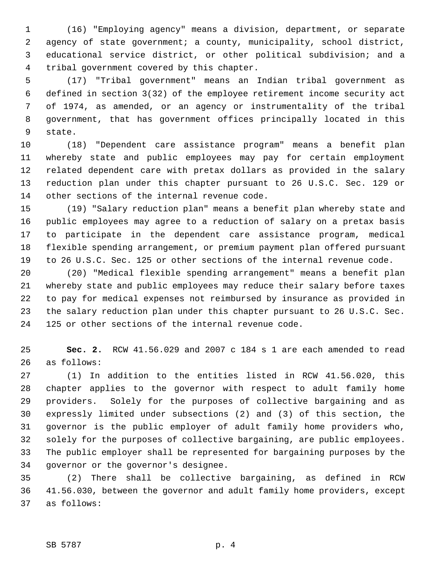1 (16) "Employing agency" means a division, department, or separate 2 agency of state government; a county, municipality, school district, 3 educational service district, or other political subdivision; and a 4 tribal government covered by this chapter.

 5 (17) "Tribal government" means an Indian tribal government as 6 defined in section 3(32) of the employee retirement income security act 7 of 1974, as amended, or an agency or instrumentality of the tribal 8 government, that has government offices principally located in this 9 state.

10 (18) "Dependent care assistance program" means a benefit plan 11 whereby state and public employees may pay for certain employment 12 related dependent care with pretax dollars as provided in the salary 13 reduction plan under this chapter pursuant to 26 U.S.C. Sec. 129 or 14 other sections of the internal revenue code.

15 (19) "Salary reduction plan" means a benefit plan whereby state and 16 public employees may agree to a reduction of salary on a pretax basis 17 to participate in the dependent care assistance program, medical 18 flexible spending arrangement, or premium payment plan offered pursuant 19 to 26 U.S.C. Sec. 125 or other sections of the internal revenue code.

20 (20) "Medical flexible spending arrangement" means a benefit plan 21 whereby state and public employees may reduce their salary before taxes 22 to pay for medical expenses not reimbursed by insurance as provided in 23 the salary reduction plan under this chapter pursuant to 26 U.S.C. Sec. 24 125 or other sections of the internal revenue code.

25 **Sec. 2.** RCW 41.56.029 and 2007 c 184 s 1 are each amended to read 26 as follows:

27 (1) In addition to the entities listed in RCW 41.56.020, this 28 chapter applies to the governor with respect to adult family home 29 providers. Solely for the purposes of collective bargaining and as 30 expressly limited under subsections (2) and (3) of this section, the 31 governor is the public employer of adult family home providers who, 32 solely for the purposes of collective bargaining, are public employees. 33 The public employer shall be represented for bargaining purposes by the 34 governor or the governor's designee.

35 (2) There shall be collective bargaining, as defined in RCW 36 41.56.030, between the governor and adult family home providers, except 37 as follows: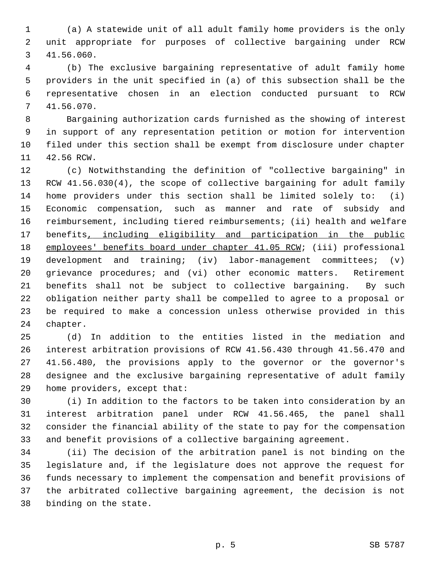1 (a) A statewide unit of all adult family home providers is the only 2 unit appropriate for purposes of collective bargaining under RCW 3 41.56.060.

 4 (b) The exclusive bargaining representative of adult family home 5 providers in the unit specified in (a) of this subsection shall be the 6 representative chosen in an election conducted pursuant to RCW 7 41.56.070.

 8 Bargaining authorization cards furnished as the showing of interest 9 in support of any representation petition or motion for intervention 10 filed under this section shall be exempt from disclosure under chapter 11 42.56 RCW.

12 (c) Notwithstanding the definition of "collective bargaining" in 13 RCW 41.56.030(4), the scope of collective bargaining for adult family 14 home providers under this section shall be limited solely to: (i) 15 Economic compensation, such as manner and rate of subsidy and 16 reimbursement, including tiered reimbursements; (ii) health and welfare 17 benefits, including eligibility and participation in the public 18 employees' benefits board under chapter 41.05 RCW; (iii) professional 19 development and training; (iv) labor-management committees; (v) 20 grievance procedures; and (vi) other economic matters. Retirement 21 benefits shall not be subject to collective bargaining. By such 22 obligation neither party shall be compelled to agree to a proposal or 23 be required to make a concession unless otherwise provided in this 24 chapter.

25 (d) In addition to the entities listed in the mediation and 26 interest arbitration provisions of RCW 41.56.430 through 41.56.470 and 27 41.56.480, the provisions apply to the governor or the governor's 28 designee and the exclusive bargaining representative of adult family 29 home providers, except that:

30 (i) In addition to the factors to be taken into consideration by an 31 interest arbitration panel under RCW 41.56.465, the panel shall 32 consider the financial ability of the state to pay for the compensation 33 and benefit provisions of a collective bargaining agreement.

34 (ii) The decision of the arbitration panel is not binding on the 35 legislature and, if the legislature does not approve the request for 36 funds necessary to implement the compensation and benefit provisions of 37 the arbitrated collective bargaining agreement, the decision is not 38 binding on the state.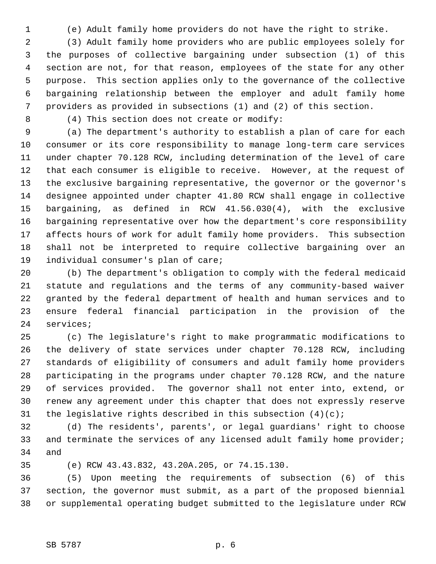1 (e) Adult family home providers do not have the right to strike.

 2 (3) Adult family home providers who are public employees solely for 3 the purposes of collective bargaining under subsection (1) of this 4 section are not, for that reason, employees of the state for any other 5 purpose. This section applies only to the governance of the collective 6 bargaining relationship between the employer and adult family home 7 providers as provided in subsections (1) and (2) of this section.

8 (4) This section does not create or modify:

 9 (a) The department's authority to establish a plan of care for each 10 consumer or its core responsibility to manage long-term care services 11 under chapter 70.128 RCW, including determination of the level of care 12 that each consumer is eligible to receive. However, at the request of 13 the exclusive bargaining representative, the governor or the governor's 14 designee appointed under chapter 41.80 RCW shall engage in collective 15 bargaining, as defined in RCW 41.56.030(4), with the exclusive 16 bargaining representative over how the department's core responsibility 17 affects hours of work for adult family home providers. This subsection 18 shall not be interpreted to require collective bargaining over an 19 individual consumer's plan of care;

20 (b) The department's obligation to comply with the federal medicaid 21 statute and regulations and the terms of any community-based waiver 22 granted by the federal department of health and human services and to 23 ensure federal financial participation in the provision of the 24 services;

25 (c) The legislature's right to make programmatic modifications to 26 the delivery of state services under chapter 70.128 RCW, including 27 standards of eligibility of consumers and adult family home providers 28 participating in the programs under chapter 70.128 RCW, and the nature 29 of services provided. The governor shall not enter into, extend, or 30 renew any agreement under this chapter that does not expressly reserve 31 the legislative rights described in this subsection  $(4)(c)i$ 

32 (d) The residents', parents', or legal guardians' right to choose 33 and terminate the services of any licensed adult family home provider; 34 and

35 (e) RCW 43.43.832, 43.20A.205, or 74.15.130.

36 (5) Upon meeting the requirements of subsection (6) of this 37 section, the governor must submit, as a part of the proposed biennial 38 or supplemental operating budget submitted to the legislature under RCW